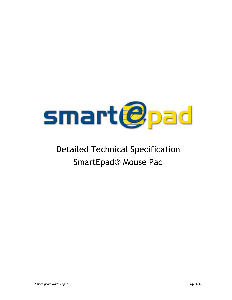

# **Detailed Technical Specification SmartEpad® Mouse Pad**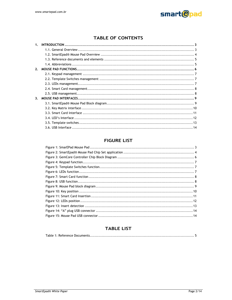

# **TABLE OF CONTENTS**

| 1 <sup>1</sup> |  |
|----------------|--|
|                |  |
|                |  |
|                |  |
|                |  |
| 2.             |  |
|                |  |
|                |  |
|                |  |
|                |  |
|                |  |
| 3 <sub>1</sub> |  |
|                |  |
|                |  |
|                |  |
|                |  |
|                |  |
|                |  |

# **FIGURE LIST**

# **TABLE LIST**

|--|--|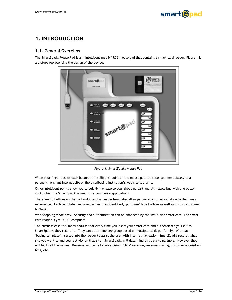

# **1. INTRODUCTION**

## 1.1. General Overview

The SmartEpad® Mouse Pad is an "intelligent matrix" USB mouse pad that contains a smart card reader. Figure 1 is a picture representing the design of the device:



Figure 1: SmartEpad® Mouse Pad

When your finger pushes each button or "intelligent" point on the mouse pad it directs you immediately to a partner/merchant Internet site or the distributing institution's web site sub-url's.

Other intelligent points allow you to quickly navigate to your shopping cart and ultimately buy with one button click, when the SmartEpad® is used for e-commerce applications.

There are 20 buttons on the pad and interchangeable templates allow partner/consumer variation to their web experience. Each template can have partner sites identified, "purchase" type buttons as well as custom consumer buttons.

Web shopping made easy. Security and authentication can be enhanced by the institution smart card. The smart card reader is yet PC/SC compliant.

The business case for SmartEpad® is that every time you insert your smart card and authenticate yourself to SmartEpad®, they record it. They can determine age group based on multiple cards per family. With each "buying template" inserted into the reader to assist the user with Internet navigation, SmartEpad® records what site you went to and your activity on that site. SmartEpad® will data mind this data to partners. However they will NOT sell the names. Revenue will come by advertising, "click" revenue, revenue sharing, customer acquisition fees, etc.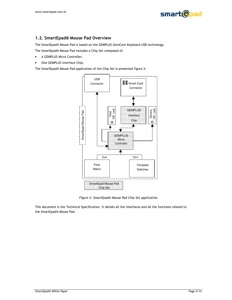

#### 1.2. SmartEpad® Mouse Pad Overview

The SmartEpad® Mouse Pad is based on the GEMPLUS GemCore Keyboard USB technology.

The SmartEpad® Mouse Pad includes a Chip Set composed of:

- A GEMPLUS Micro Controller,
- One GEMPLUS Interface Chip.

The SmartEpad® Mouse Pad application of the Chip Set is presented figure 2:



Figure 2: SmartEpad® Mouse Pad Chip Set application

This document is the Technical Specification. It details all the interfaces and all the functions related to the SmartEpad® Mouse Pad.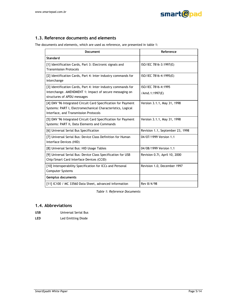

## 1.3. Reference documents and elements

The documents and elements, which are used as reference, are presented in table 1:

| Document                                                                                                                                                              | Reference                             |
|-----------------------------------------------------------------------------------------------------------------------------------------------------------------------|---------------------------------------|
| Standard                                                                                                                                                              |                                       |
| [1] Identification Cards, Part 3: Electronic signals and<br><b>Transmission Protocols</b>                                                                             | ISO/IEC 7816-3:1997(E)                |
| [2] Identification Cards, Part 4: Inter industry commands for<br>interchange                                                                                          | ISO/IEC 7816-4:1995(E)                |
| [3] Identification Cards, Part 4: Inter industry commands for<br>interchange. AMENDMENT 1: Impact of secure messaging on<br>structures of APDU messages               | ISO/IEC 7816-4:1995<br>/Amd.1:1997(E) |
| [4] EMV '96 Integrated Circuit Card Specification for Payment<br>Systems: PART I, Electromechanical Characteristics, Logical<br>Interface, and Transmission Protocols | Version 3.1.1, May 31, 1998           |
| [5] EMV '96 Integrated Circuit Card Specification for Payment<br>Systems: PART II, Data Elements and Commands                                                         | Version 3.1.1, May 31, 1998           |
| [6] Universal Serial Bus Specification                                                                                                                                | Revision 1.1, September 23, 1998      |
| [7] Universal Serial Bus: Device Class Definition for Human<br>Interface Devices (HID)                                                                                | 04/07/1999 Version 1.1                |
| [8] Universal Serial Bus: HID Usage Tables                                                                                                                            | 04/08/1999 Version 1.1                |
| [9] Universal Serial Bus: Device Class Specification for USB<br>Chip/Smart Card Interface Devices (CCID)                                                              | Revision 0.7i, April 10, 2000         |
| [10] Interoperability Specification for ICCs and Personal<br>Computer Systems                                                                                         | Revision 1.0, December 1997           |
| Gemplus documents                                                                                                                                                     |                                       |
| [11] IC100 / MC 33560 Data Sheet, advanced information                                                                                                                | Rev 8/4/98                            |

Table 1: Reference Documents

#### 1.4. Abbreviations

| <b>USB</b> | Universal Serial Bus |
|------------|----------------------|
| LED        | Led Emitting Diode   |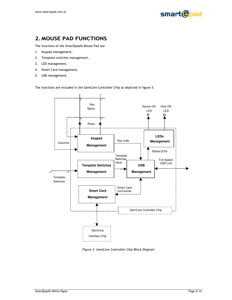

# **2. MOUSE PAD FUNCTIONS**

The functions of the SmartEpad® Mouse Pad are:

- $1.$ Keypad management,
- $2.$ Template switches management,
- $3.$ LED management,
- $4.$ Smart Card management,
- USB management. 5.

The functions are included in the GemCore Controller Chip as depicted in figure 3:



Figure 3: GemCore Controller Chip Block Diagram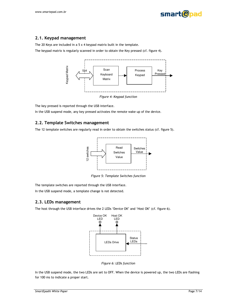



#### 2.1. Keypad management

The 20 Keys are included in a  $5 \times 4$  keypad matrix built in the template.

The keypad matrix is regularly scanned in order to obtain the Key pressed (cf. figure 4).



The key pressed is reported through the USB interface.

In the USB suspend mode, any key pressed activates the remote wake up of the device.

#### 2.2. Template Switches management

The 12 template switches are regularly read in order to obtain the switches status (cf. figure 5).



Figure 5: Template Switches function

The template switches are reported through the USB interface.

In the USB suspend mode, a template change is not detected.

#### 2.3. LEDs management

The host through the USB interface drives the 2 LEDs 'Device OK' and 'Host OK' (cf. figure 6).



Figure 6: LEDs function

In the USB suspend mode, the two LEDs are set to OFF. When the device is powered up, the two LEDs are flashing for 100 ms to indicate a proper start.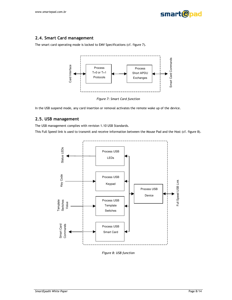

T

#### 2.4. Smart Card management

The smart card operating mode is locked to EMV Specifications (cf. figure 7).



Figure 7: Smart Card function

In the USB suspend mode, any card insertion or removal activates the remote wake up of the device.

# 2.5. USB management

The USB management complies with revision 1.10 USB Standards.

This Full Speed link is used to transmit and receive information between the Mouse Pad and the Host (cf. figure 8).



Figure 8: USB function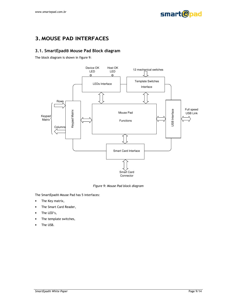

# **3. MOUSE PAD INTERFACES**

# 3.1. SmartEpad® Mouse Pad Block diagram

The block diagram is shown in figure 9:



Figure 9: Mouse Pad block diagram

The SmartEpad® Mouse Pad has 5 interfaces:

- The Key matrix,  $\bullet$
- The Smart Card Reader,  $\bullet$
- The LED's,  $\bullet$
- The template switches,
- The USB.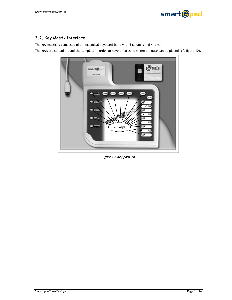

## 3.2. Key Matrix interface

The key matrix is composed of a mechanical keyboard build with 5 columns and 4 rows.

The keys are spread around the template in order to have a flat zone where a mouse can be placed (cf. figure 10).



Figure 10: Key position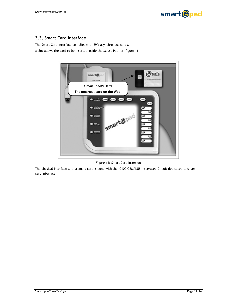



# 3.3. Smart Card Interface

The Smart Card interface complies with EMV asynchronous cards.

A slot allows the card to be inserted inside the Mouse Pad (cf. figure 11).



Figure 11: Smart Card Insertion

The physical interface with a smart card is done with the IC100 GEMPLUS Integrated Circuit dedicated to smart card interface.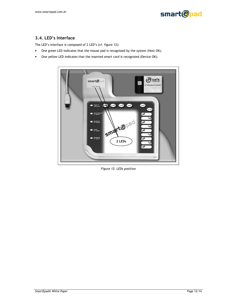

## 3.4. LED's Interface

The LED's interface is composed of 2 LED's (cf. figure 12):

- One green LED indicates that the mouse pad is recognized by the system (Host OK),  $\bullet$
- One yellow LED indicates that the inserted smart card is recognized (Device OK).  $\bullet$



Figure 12: LEDs position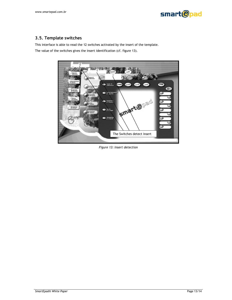

# 3.5. Template switches

This interface is able to read the 12 switches activated by the insert of the template. The value of the switches gives the insert identification (cf. figure 13).



Figure 13: Insert detection